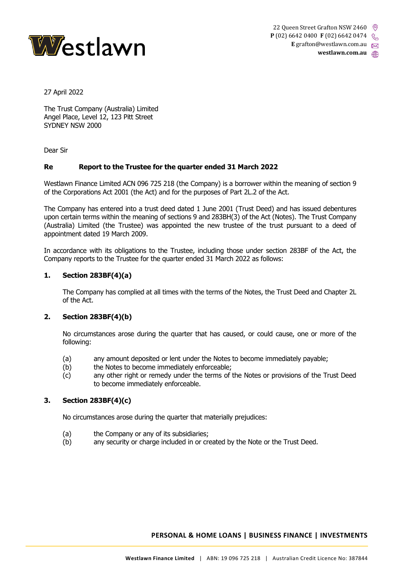

27 April 2022

The Trust Company (Australia) Limited Angel Place, Level 12, 123 Pitt Street SYDNEY NSW 2000

Dear Sir

## **Re Report to the Trustee for the quarter ended 31 March 2022**

Westlawn Finance Limited ACN 096 725 218 (the Company) is a borrower within the meaning of section 9 of the Corporations Act 2001 (the Act) and for the purposes of Part 2L.2 of the Act.

The Company has entered into a trust deed dated 1 June 2001 (Trust Deed) and has issued debentures upon certain terms within the meaning of sections 9 and 283BH(3) of the Act (Notes). The Trust Company (Australia) Limited (the Trustee) was appointed the new trustee of the trust pursuant to a deed of appointment dated 19 March 2009.

In accordance with its obligations to the Trustee, including those under section 283BF of the Act, the Company reports to the Trustee for the quarter ended 31 March 2022 as follows:

## **1. Section 283BF(4)(a)**

The Company has complied at all times with the terms of the Notes, the Trust Deed and Chapter 2L of the Act.

## **2. Section 283BF(4)(b)**

No circumstances arose during the quarter that has caused, or could cause, one or more of the following:

- (a) any amount deposited or lent under the Notes to become immediately payable;
- (b) the Notes to become immediately enforceable;
- (c) any other right or remedy under the terms of the Notes or provisions of the Trust Deed to become immediately enforceable.

## **3. Section 283BF(4)(c)**

No circumstances arose during the quarter that materially prejudices:

- (a) the Company or any of its subsidiaries;
- (b) any security or charge included in or created by the Note or the Trust Deed.

## **PERSONAL & HOME LOANS | BUSINESS FINANCE | INVESTMENTS**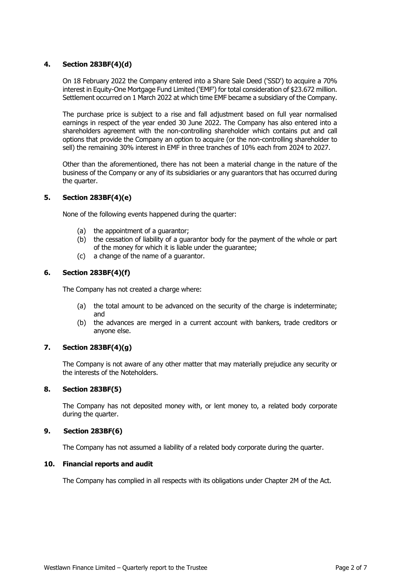## **4. Section 283BF(4)(d)**

On 18 February 2022 the Company entered into a Share Sale Deed ('SSD') to acquire a 70% interest in Equity-One Mortgage Fund Limited ('EMF') for total consideration of \$23.672 million. Settlement occurred on 1 March 2022 at which time EMF became a subsidiary of the Company.

The purchase price is subject to a rise and fall adjustment based on full year normalised earnings in respect of the year ended 30 June 2022. The Company has also entered into a shareholders agreement with the non-controlling shareholder which contains put and call options that provide the Company an option to acquire (or the non-controlling shareholder to sell) the remaining 30% interest in EMF in three tranches of 10% each from 2024 to 2027.

Other than the aforementioned, there has not been a material change in the nature of the business of the Company or any of its subsidiaries or any guarantors that has occurred during the quarter.

## **5. Section 283BF(4)(e)**

None of the following events happened during the quarter:

- (a) the appointment of a guarantor;
- (b) the cessation of liability of a guarantor body for the payment of the whole or part of the money for which it is liable under the guarantee;
- (c) a change of the name of a guarantor.

## **6. Section 283BF(4)(f)**

The Company has not created a charge where:

- (a) the total amount to be advanced on the security of the charge is indeterminate; and
- (b) the advances are merged in a current account with bankers, trade creditors or anyone else.

## **7. Section 283BF(4)(g)**

The Company is not aware of any other matter that may materially prejudice any security or the interests of the Noteholders.

#### **8. Section 283BF(5)**

The Company has not deposited money with, or lent money to, a related body corporate during the quarter.

#### **9. Section 283BF(6)**

The Company has not assumed a liability of a related body corporate during the quarter.

#### **10. Financial reports and audit**

The Company has complied in all respects with its obligations under Chapter 2M of the Act.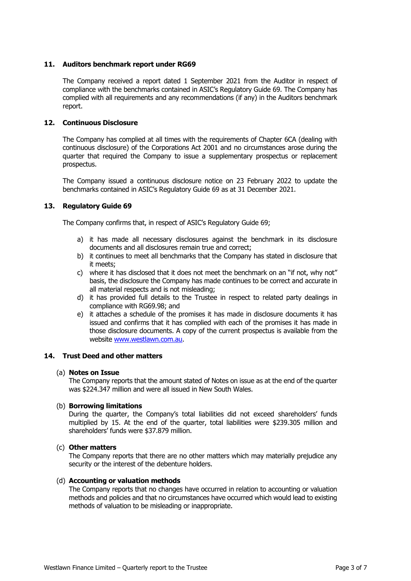## **11. Auditors benchmark report under RG69**

The Company received a report dated 1 September 2021 from the Auditor in respect of compliance with the benchmarks contained in ASIC's Regulatory Guide 69. The Company has complied with all requirements and any recommendations (if any) in the Auditors benchmark report.

#### **12. Continuous Disclosure**

The Company has complied at all times with the requirements of Chapter 6CA (dealing with continuous disclosure) of the Corporations Act 2001 and no circumstances arose during the quarter that required the Company to issue a supplementary prospectus or replacement prospectus.

The Company issued a continuous disclosure notice on 23 February 2022 to update the benchmarks contained in ASIC's Regulatory Guide 69 as at 31 December 2021.

#### **13. Regulatory Guide 69**

The Company confirms that, in respect of ASIC's Regulatory Guide 69;

- a) it has made all necessary disclosures against the benchmark in its disclosure documents and all disclosures remain true and correct;
- b) it continues to meet all benchmarks that the Company has stated in disclosure that it meets;
- c) where it has disclosed that it does not meet the benchmark on an "if not, why not" basis, the disclosure the Company has made continues to be correct and accurate in all material respects and is not misleading;
- d) it has provided full details to the Trustee in respect to related party dealings in compliance with RG69.98; and
- e) it attaches a schedule of the promises it has made in disclosure documents it has issued and confirms that it has complied with each of the promises it has made in those disclosure documents. A copy of the current prospectus is available from the website [www.westlawn.com.au.](http://www.westlawn.com.au/)

#### **14. Trust Deed and other matters**

#### (a) **Notes on Issue**

The Company reports that the amount stated of Notes on issue as at the end of the quarter was \$224.347 million and were all issued in New South Wales.

#### (b) **Borrowing limitations**

During the quarter, the Company's total liabilities did not exceed shareholders' funds multiplied by 15. At the end of the quarter, total liabilities were \$239.305 million and shareholders' funds were \$37.879 million.

#### (c) **Other matters**

The Company reports that there are no other matters which may materially prejudice any security or the interest of the debenture holders.

#### (d) **Accounting or valuation methods**

The Company reports that no changes have occurred in relation to accounting or valuation methods and policies and that no circumstances have occurred which would lead to existing methods of valuation to be misleading or inappropriate.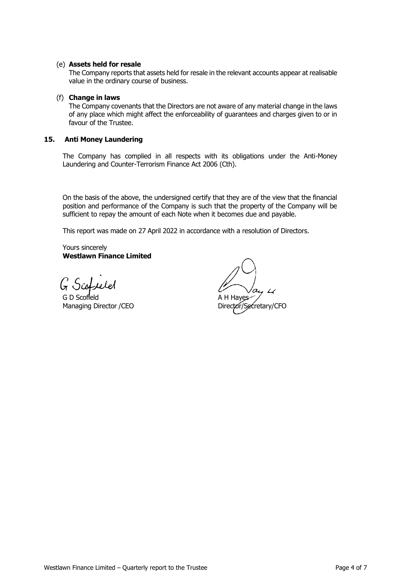## (e) **Assets held for resale**

The Company reports that assets held for resale in the relevant accounts appear at realisable value in the ordinary course of business.

#### (f) **Change in laws**

The Company covenants that the Directors are not aware of any material change in the laws of any place which might affect the enforceability of guarantees and charges given to or in favour of the Trustee.

## **15. Anti Money Laundering**

The Company has complied in all respects with its obligations under the Anti-Money Laundering and Counter-Terrorism Finance Act 2006 (Cth).

On the basis of the above, the undersigned certify that they are of the view that the financial position and performance of the Company is such that the property of the Company will be sufficient to repay the amount of each Note when it becomes due and payable.

This report was made on 27 April 2022 in accordance with a resolution of Directors.

Yours sincerely **Westlawn Finance Limited**

G Scoffeld

G D Scofield **A H Hayes** Managing Director /CEO Director Director/Secretary/CFO

 $\overline{L}$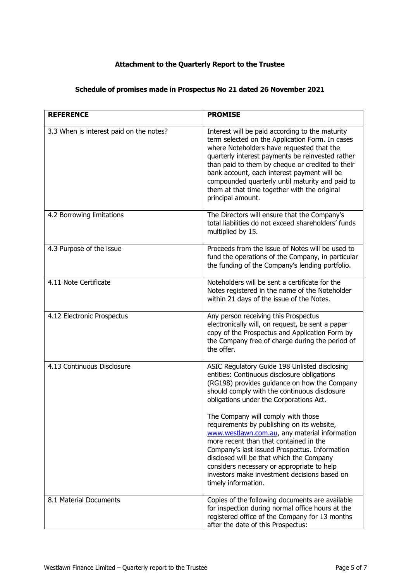## **Attachment to the Quarterly Report to the Trustee**

# **Schedule of promises made in Prospectus No 21 dated 26 November 2021**

| <b>REFERENCE</b>                        | <b>PROMISE</b>                                                                                                                                                                                                                                                                                                                                                                                                                                                                                                                                                                                                                           |
|-----------------------------------------|------------------------------------------------------------------------------------------------------------------------------------------------------------------------------------------------------------------------------------------------------------------------------------------------------------------------------------------------------------------------------------------------------------------------------------------------------------------------------------------------------------------------------------------------------------------------------------------------------------------------------------------|
| 3.3 When is interest paid on the notes? | Interest will be paid according to the maturity<br>term selected on the Application Form. In cases<br>where Noteholders have requested that the<br>quarterly interest payments be reinvested rather<br>than paid to them by cheque or credited to their<br>bank account, each interest payment will be<br>compounded quarterly until maturity and paid to<br>them at that time together with the original<br>principal amount.                                                                                                                                                                                                           |
| 4.2 Borrowing limitations               | The Directors will ensure that the Company's<br>total liabilities do not exceed shareholders' funds<br>multiplied by 15.                                                                                                                                                                                                                                                                                                                                                                                                                                                                                                                 |
| 4.3 Purpose of the issue                | Proceeds from the issue of Notes will be used to<br>fund the operations of the Company, in particular<br>the funding of the Company's lending portfolio.                                                                                                                                                                                                                                                                                                                                                                                                                                                                                 |
| 4.11 Note Certificate                   | Noteholders will be sent a certificate for the<br>Notes registered in the name of the Noteholder<br>within 21 days of the issue of the Notes.                                                                                                                                                                                                                                                                                                                                                                                                                                                                                            |
| 4.12 Electronic Prospectus              | Any person receiving this Prospectus<br>electronically will, on request, be sent a paper<br>copy of the Prospectus and Application Form by<br>the Company free of charge during the period of<br>the offer.                                                                                                                                                                                                                                                                                                                                                                                                                              |
| 4.13 Continuous Disclosure              | ASIC Regulatory Guide 198 Unlisted disclosing<br>entities: Continuous disclosure obligations<br>(RG198) provides guidance on how the Company<br>should comply with the continuous disclosure<br>obligations under the Corporations Act.<br>The Company will comply with those<br>requirements by publishing on its website,<br>www.westlawn.com.au, any material information<br>more recent than that contained in the<br>Company's last issued Prospectus. Information<br>disclosed will be that which the Company<br>considers necessary or appropriate to help<br>investors make investment decisions based on<br>timely information. |
| 8.1 Material Documents                  | Copies of the following documents are available<br>for inspection during normal office hours at the<br>registered office of the Company for 13 months<br>after the date of this Prospectus:                                                                                                                                                                                                                                                                                                                                                                                                                                              |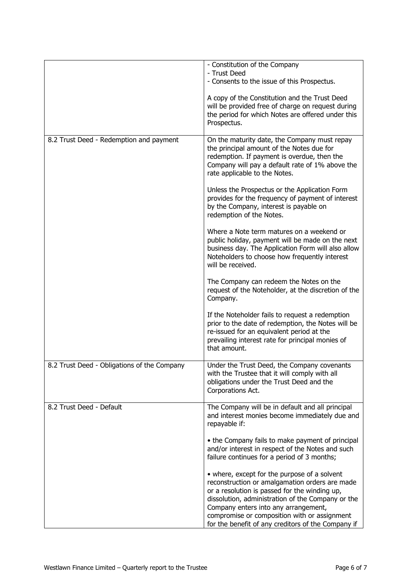|                                             | - Constitution of the Company<br>- Trust Deed                                                                                                                                                                                                                                                                                                      |
|---------------------------------------------|----------------------------------------------------------------------------------------------------------------------------------------------------------------------------------------------------------------------------------------------------------------------------------------------------------------------------------------------------|
|                                             | - Consents to the issue of this Prospectus.                                                                                                                                                                                                                                                                                                        |
|                                             | A copy of the Constitution and the Trust Deed<br>will be provided free of charge on request during<br>the period for which Notes are offered under this<br>Prospectus.                                                                                                                                                                             |
| 8.2 Trust Deed - Redemption and payment     | On the maturity date, the Company must repay<br>the principal amount of the Notes due for<br>redemption. If payment is overdue, then the<br>Company will pay a default rate of 1% above the<br>rate applicable to the Notes.                                                                                                                       |
|                                             | Unless the Prospectus or the Application Form<br>provides for the frequency of payment of interest<br>by the Company, interest is payable on<br>redemption of the Notes.                                                                                                                                                                           |
|                                             | Where a Note term matures on a weekend or<br>public holiday, payment will be made on the next<br>business day. The Application Form will also allow<br>Noteholders to choose how frequently interest<br>will be received.                                                                                                                          |
|                                             | The Company can redeem the Notes on the<br>request of the Noteholder, at the discretion of the<br>Company.                                                                                                                                                                                                                                         |
|                                             | If the Noteholder fails to request a redemption<br>prior to the date of redemption, the Notes will be<br>re-issued for an equivalent period at the<br>prevailing interest rate for principal monies of<br>that amount.                                                                                                                             |
| 8.2 Trust Deed - Obligations of the Company | Under the Trust Deed, the Company covenants<br>with the Trustee that it will comply with all<br>obligations under the Trust Deed and the<br>Corporations Act.                                                                                                                                                                                      |
| 8.2 Trust Deed - Default                    | The Company will be in default and all principal<br>and interest monies become immediately due and<br>repayable if:                                                                                                                                                                                                                                |
|                                             | • the Company fails to make payment of principal<br>and/or interest in respect of the Notes and such<br>failure continues for a period of 3 months;                                                                                                                                                                                                |
|                                             | • where, except for the purpose of a solvent<br>reconstruction or amalgamation orders are made<br>or a resolution is passed for the winding up,<br>dissolution, administration of the Company or the<br>Company enters into any arrangement,<br>compromise or composition with or assignment<br>for the benefit of any creditors of the Company if |